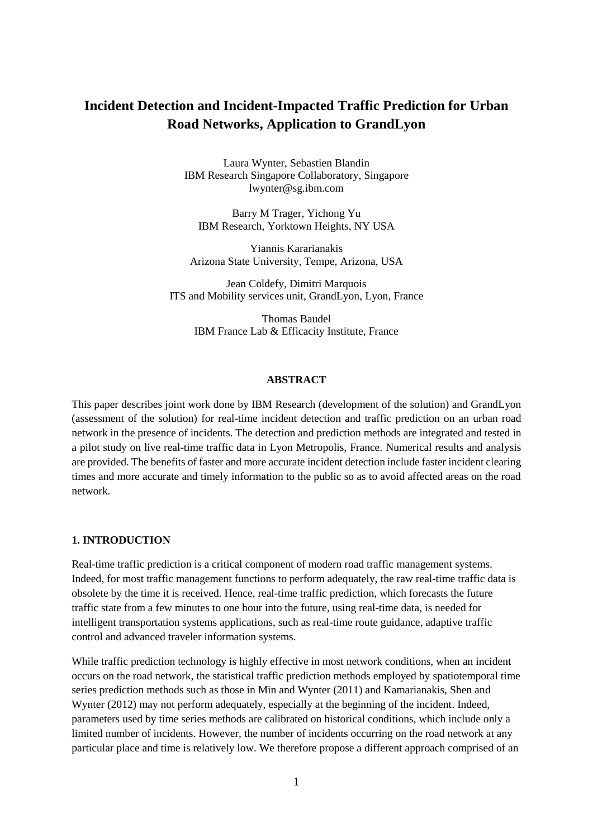# **Incident Detection and Incident-Impacted Traffic Prediction for Urban Road Networks, Application to GrandLyon**

Laura Wynter, Sebastien Blandin IBM Research Singapore Collaboratory, Singapore lwynter@sg.ibm.com

Barry M Trager, Yichong Yu IBM Research, Yorktown Heights, NY USA

Yiannis Kararianakis Arizona State University, Tempe, Arizona, USA

Jean Coldefy, Dimitri Marquois ITS and Mobility services unit, GrandLyon, Lyon, France

Thomas Baudel IBM France Lab & Efficacity Institute, France

#### **ABSTRACT**

This paper describes joint work done by IBM Research (development of the solution) and GrandLyon (assessment of the solution) for real-time incident detection and traffic prediction on an urban road network in the presence of incidents. The detection and prediction methods are integrated and tested in a pilot study on live real-time traffic data in Lyon Metropolis, France. Numerical results and analysis are provided. The benefits of faster and more accurate incident detection include faster incident clearing times and more accurate and timely information to the public so as to avoid affected areas on the road network.

# **1. INTRODUCTION**

Real-time traffic prediction is a critical component of modern road traffic management systems. Indeed, for most traffic management functions to perform adequately, the raw real-time traffic data is obsolete by the time it is received. Hence, real-time traffic prediction, which forecasts the future traffic state from a few minutes to one hour into the future, using real-time data, is needed for intelligent transportation systems applications, such as real-time route guidance, adaptive traffic control and advanced traveler information systems.

While traffic prediction technology is highly effective in most network conditions, when an incident occurs on the road network, the statistical traffic prediction methods employed by spatiotemporal time series prediction methods such as those in Min and Wynter (2011) and Kamarianakis, Shen and Wynter (2012) may not perform adequately, especially at the beginning of the incident. Indeed, parameters used by time series methods are calibrated on historical conditions, which include only a limited number of incidents. However, the number of incidents occurring on the road network at any particular place and time is relatively low. We therefore propose a different approach comprised of an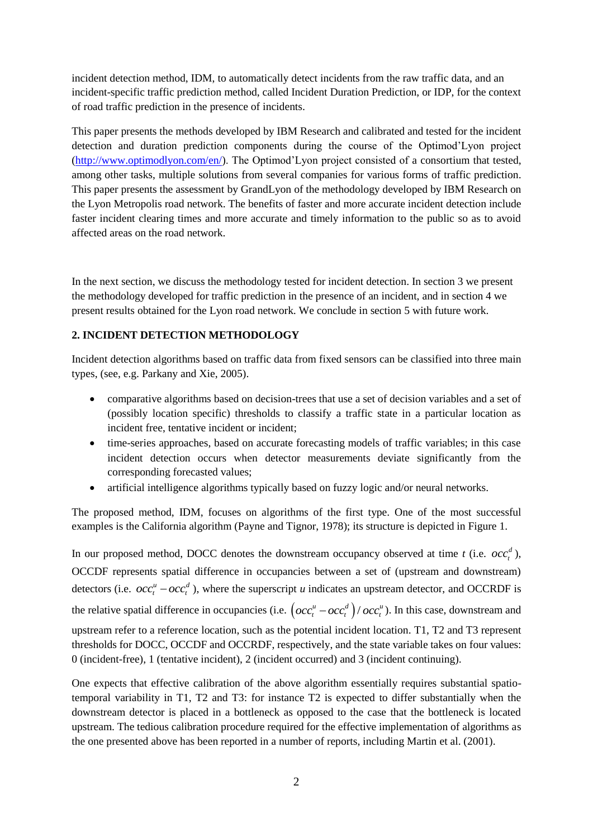incident detection method, IDM, to automatically detect incidents from the raw traffic data, and an incident-specific traffic prediction method, called Incident Duration Prediction, or IDP, for the context of road traffic prediction in the presence of incidents.

This paper presents the methods developed by IBM Research and calibrated and tested for the incident detection and duration prediction components during the course of the Optimod'Lyon project [\(http://www.optimodlyon.com/en/\)](http://www.optimodlyon.com/en/). The Optimod'Lyon project consisted of a consortium that tested, among other tasks, multiple solutions from several companies for various forms of traffic prediction. This paper presents the assessment by GrandLyon of the methodology developed by IBM Research on the Lyon Metropolis road network. The benefits of faster and more accurate incident detection include faster incident clearing times and more accurate and timely information to the public so as to avoid affected areas on the road network.

In the next section, we discuss the methodology tested for incident detection. In section 3 we present the methodology developed for traffic prediction in the presence of an incident, and in section 4 we present results obtained for the Lyon road network. We conclude in section 5 with future work.

# **2. INCIDENT DETECTION METHODOLOGY**

Incident detection algorithms based on traffic data from fixed sensors can be classified into three main types, (see, e.g. Parkany and Xie, 2005).

- comparative algorithms based on decision-trees that use a set of decision variables and a set of (possibly location specific) thresholds to classify a traffic state in a particular location as incident free, tentative incident or incident;
- time-series approaches, based on accurate forecasting models of traffic variables; in this case incident detection occurs when detector measurements deviate significantly from the corresponding forecasted values;
- artificial intelligence algorithms typically based on fuzzy logic and/or neural networks.

The proposed method, IDM, focuses on algorithms of the first type. One of the most successful examples is the California algorithm (Payne and Tignor, 1978); its structure is depicted in Figure 1.

In our proposed method, DOCC denotes the downstream occupancy observed at time *t* (i.e.  $occ<sub>t</sub><sup>d</sup>$ ), OCCDF represents spatial difference in occupancies between a set of (upstream and downstream) detectors (i.e.  $occ_t^u - occ_t^d$ ), where the superscript *u* indicates an upstream detector, and OCCRDF is the relative spatial difference in occupancies (i.e.  $\left( occ_i^u - occ_i^d \right) / occ_i^u$ ). In this case, downstream and upstream refer to a reference location, such as the potential incident location. T1, T2 and T3 represent thresholds for DOCC, OCCDF and OCCRDF, respectively, and the state variable takes on four values: 0 (incident-free), 1 (tentative incident), 2 (incident occurred) and 3 (incident continuing).

One expects that effective calibration of the above algorithm essentially requires substantial spatiotemporal variability in T1, T2 and T3: for instance T2 is expected to differ substantially when the downstream detector is placed in a bottleneck as opposed to the case that the bottleneck is located upstream. The tedious calibration procedure required for the effective implementation of algorithms as the one presented above has been reported in a number of reports, including Martin et al. (2001).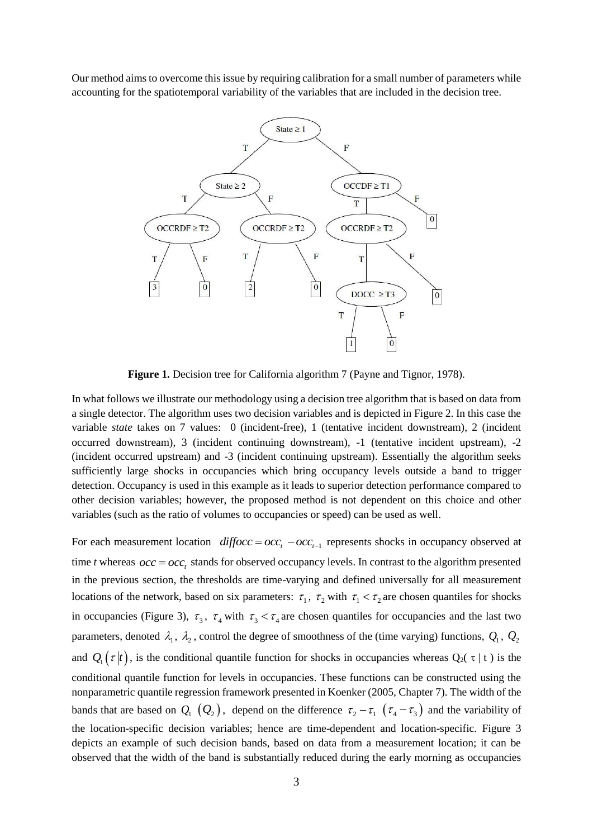Our method aims to overcome this issue by requiring calibration for a small number of parameters while accounting for the spatiotemporal variability of the variables that are included in the decision tree.



**Figure 1.** Decision tree for California algorithm 7 (Payne and Tignor, 1978).

In what follows we illustrate our methodology using a decision tree algorithm that is based on data from a single detector. The algorithm uses two decision variables and is depicted in Figure 2. In this case the variable *state* takes on 7 values: 0 (incident-free), 1 (tentative incident downstream), 2 (incident occurred downstream), 3 (incident continuing downstream), -1 (tentative incident upstream), -2 (incident occurred upstream) and -3 (incident continuing upstream). Essentially the algorithm seeks sufficiently large shocks in occupancies which bring occupancy levels outside a band to trigger detection. Occupancy is used in this example as it leads to superior detection performance compared to other decision variables; however, the proposed method is not dependent on this choice and other variables (such as the ratio of volumes to occupancies or speed) can be used as well.

For each measurement location  $\text{diffeoc} = \text{occ}_t - \text{occ}_{t-1}$  represents shocks in occupancy observed at time *t* whereas  $\text{occ} = \text{occ}_t$  stands for observed occupancy levels. In contrast to the algorithm presented in the previous section, the thresholds are time-varying and defined universally for all measurement locations of the network, based on six parameters:  $\tau_1$ ,  $\tau_2$  with  $\tau_1 < \tau_2$  are chosen quantiles for shocks in occupancies (Figure 3),  $\tau_3$ ,  $\tau_4$  with  $\tau_3 < \tau_4$  are chosen quantiles for occupancies and the last two parameters, denoted  $\lambda_1$ ,  $\lambda_2$ , control the degree of smoothness of the (time varying) functions,  $Q_1$ ,  $Q_2$ and  $Q_1(\tau|\tau)$ , is the conditional quantile function for shocks in occupancies whereas  $Q_2(\tau|\tau)$  is the conditional quantile function for levels in occupancies. These functions can be constructed using the nonparametric quantile regression framework presented in Koenker (2005, Chapter 7). The width of the bands that are based on  $Q_1(Q_2)$ , depend on the difference  $\tau_2 - \tau_1$   $(\tau_4 - \tau_3)$  and the variability of the location-specific decision variables; hence are time-dependent and location-specific. Figure 3 depicts an example of such decision bands, based on data from a measurement location; it can be observed that the width of the band is substantially reduced during the early morning as occupancies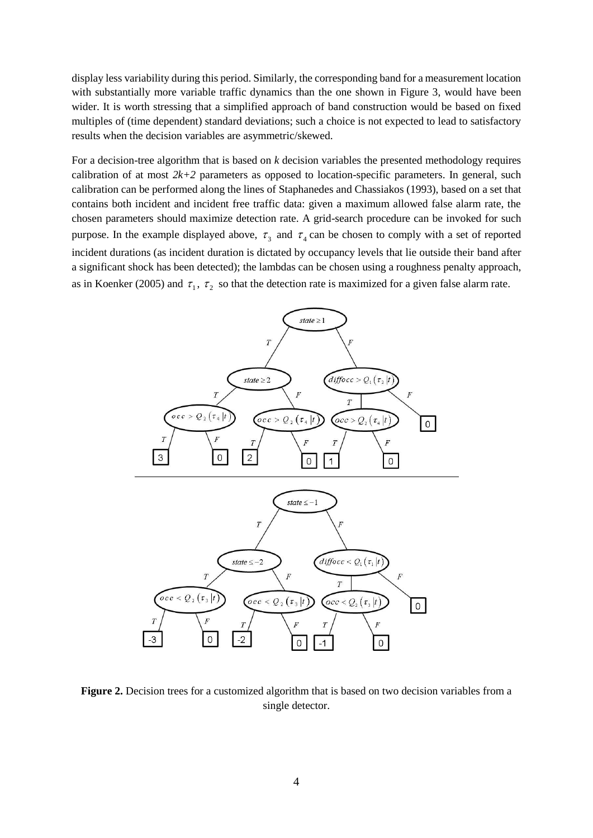display less variability during this period. Similarly, the corresponding band for a measurement location with substantially more variable traffic dynamics than the one shown in Figure 3, would have been wider. It is worth stressing that a simplified approach of band construction would be based on fixed multiples of (time dependent) standard deviations; such a choice is not expected to lead to satisfactory results when the decision variables are asymmetric/skewed.

For a decision-tree algorithm that is based on *k* decision variables the presented methodology requires calibration of at most  $2k+2$  parameters as opposed to location-specific parameters. In general, such calibration can be performed along the lines of Staphanedes and Chassiakos (1993), based on a set that contains both incident and incident free traffic data: given a maximum allowed false alarm rate, the chosen parameters should maximize detection rate. A grid-search procedure can be invoked for such purpose. In the example displayed above,  $\tau_3$  and  $\tau_4$  can be chosen to comply with a set of reported incident durations (as incident duration is dictated by occupancy levels that lie outside their band after a significant shock has been detected); the lambdas can be chosen using a roughness penalty approach, as in Koenker (2005) and  $\tau_1$ ,  $\tau_2$  so that the detection rate is maximized for a given false alarm rate.



Figure 2. Decision trees for a customized algorithm that is based on two decision variables from a single detector.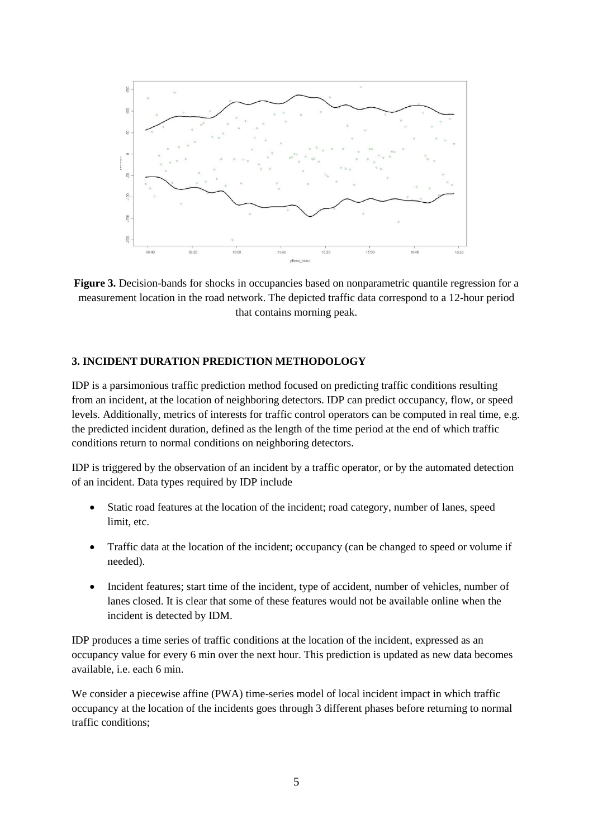

**Figure 3.** Decision-bands for shocks in occupancies based on nonparametric quantile regression for a measurement location in the road network. The depicted traffic data correspond to a 12-hour period that contains morning peak.

### **3. INCIDENT DURATION PREDICTION METHODOLOGY**

IDP is a parsimonious traffic prediction method focused on predicting traffic conditions resulting from an incident, at the location of neighboring detectors. IDP can predict occupancy, flow, or speed levels. Additionally, metrics of interests for traffic control operators can be computed in real time, e.g. the predicted incident duration, defined as the length of the time period at the end of which traffic conditions return to normal conditions on neighboring detectors.

IDP is triggered by the observation of an incident by a traffic operator, or by the automated detection of an incident. Data types required by IDP include

- Static road features at the location of the incident; road category, number of lanes, speed limit, etc.
- Traffic data at the location of the incident; occupancy (can be changed to speed or volume if needed).
- Incident features; start time of the incident, type of accident, number of vehicles, number of lanes closed. It is clear that some of these features would not be available online when the incident is detected by IDM.

IDP produces a time series of traffic conditions at the location of the incident, expressed as an occupancy value for every 6 min over the next hour. This prediction is updated as new data becomes available, i.e. each 6 min.

We consider a piecewise affine (PWA) time-series model of local incident impact in which traffic occupancy at the location of the incidents goes through 3 different phases before returning to normal traffic conditions;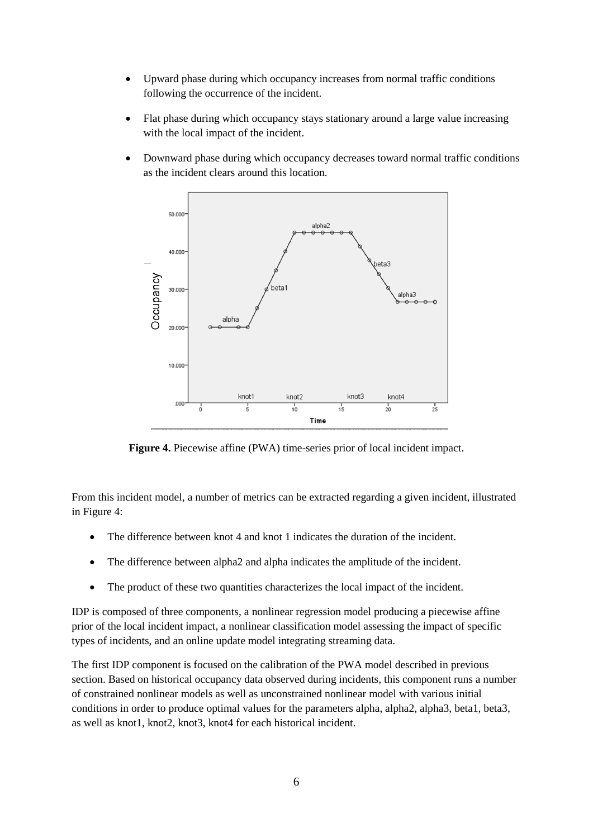- Upward phase during which occupancy increases from normal traffic conditions following the occurrence of the incident.
- Flat phase during which occupancy stays stationary around a large value increasing with the local impact of the incident.
- Downward phase during which occupancy decreases toward normal traffic conditions as the incident clears around this location.



**Figure 4.** Piecewise affine (PWA) time-series prior of local incident impact.

From this incident model, a number of metrics can be extracted regarding a given incident, illustrated in Figure 4:

- The difference between knot 4 and knot 1 indicates the duration of the incident.
- The difference between alpha2 and alpha indicates the amplitude of the incident.
- The product of these two quantities characterizes the local impact of the incident.

IDP is composed of three components, a nonlinear regression model producing a piecewise affine prior of the local incident impact, a nonlinear classification model assessing the impact of specific types of incidents, and an online update model integrating streaming data.

The first IDP component is focused on the calibration of the PWA model described in previous section. Based on historical occupancy data observed during incidents, this component runs a number of constrained nonlinear models as well as unconstrained nonlinear model with various initial conditions in order to produce optimal values for the parameters alpha, alpha2, alpha3, beta1, beta3, as well as knot1, knot2, knot3, knot4 for each historical incident.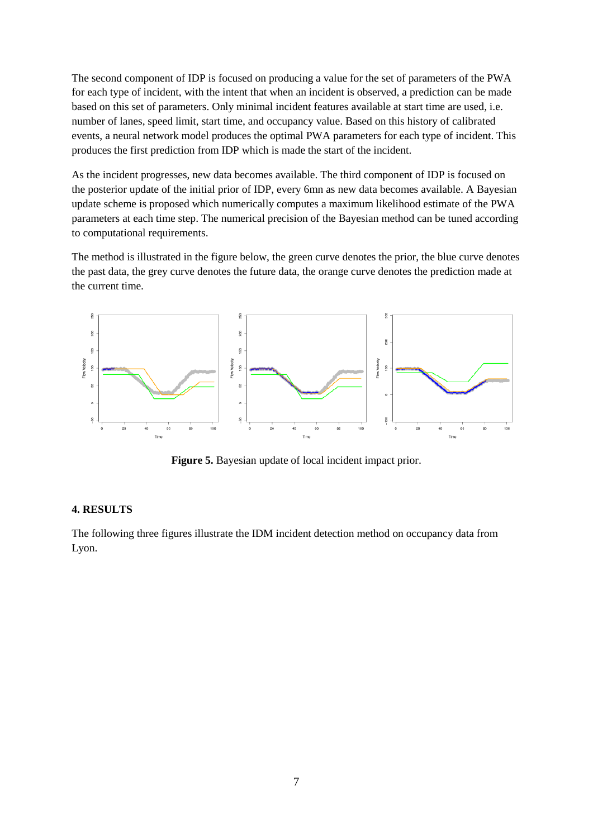The second component of IDP is focused on producing a value for the set of parameters of the PWA for each type of incident, with the intent that when an incident is observed, a prediction can be made based on this set of parameters. Only minimal incident features available at start time are used, i.e. number of lanes, speed limit, start time, and occupancy value. Based on this history of calibrated events, a neural network model produces the optimal PWA parameters for each type of incident. This produces the first prediction from IDP which is made the start of the incident.

As the incident progresses, new data becomes available. The third component of IDP is focused on the posterior update of the initial prior of IDP, every 6mn as new data becomes available. A Bayesian update scheme is proposed which numerically computes a maximum likelihood estimate of the PWA parameters at each time step. The numerical precision of the Bayesian method can be tuned according to computational requirements.

The method is illustrated in the figure below, the green curve denotes the prior, the blue curve denotes the past data, the grey curve denotes the future data, the orange curve denotes the prediction made at the current time.



**Figure 5.** Bayesian update of local incident impact prior.

#### **4. RESULTS**

The following three figures illustrate the IDM incident detection method on occupancy data from Lyon.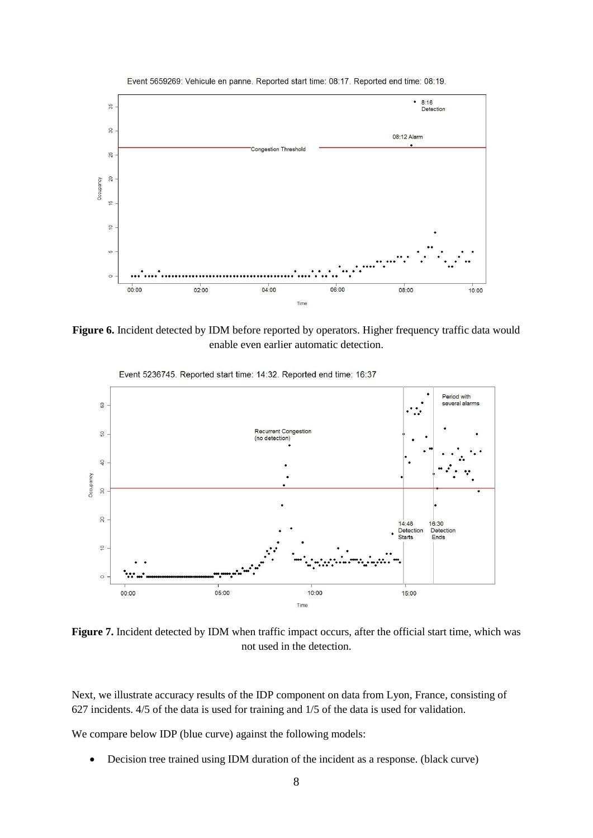

Figure 6. Incident detected by IDM before reported by operators. Higher frequency traffic data would enable even earlier automatic detection.



Event 5236745. Reported start time: 14:32. Reported end time: 16:37

Figure 7. Incident detected by IDM when traffic impact occurs, after the official start time, which was not used in the detection.

Next, we illustrate accuracy results of the IDP component on data from Lyon, France, consisting of 627 incidents. 4/5 of the data is used for training and 1/5 of the data is used for validation.

We compare below IDP (blue curve) against the following models:

Decision tree trained using IDM duration of the incident as a response. (black curve)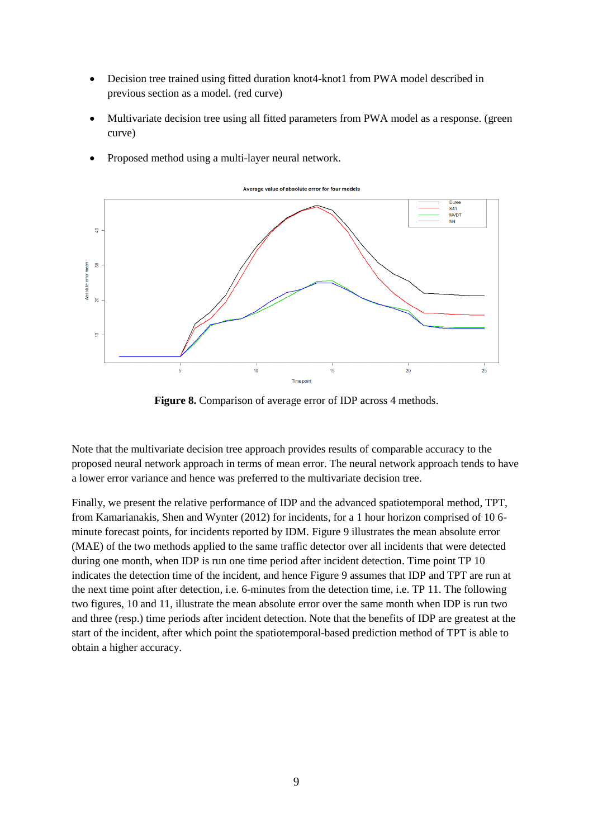- Decision tree trained using fitted duration knot4-knot1 from PWA model described in previous section as a model. (red curve)
- Multivariate decision tree using all fitted parameters from PWA model as a response. (green curve)



• Proposed method using a multi-layer neural network.

**Figure 8.** Comparison of average error of IDP across 4 methods.

Note that the multivariate decision tree approach provides results of comparable accuracy to the proposed neural network approach in terms of mean error. The neural network approach tends to have a lower error variance and hence was preferred to the multivariate decision tree.

Finally, we present the relative performance of IDP and the advanced spatiotemporal method, TPT, from Kamarianakis, Shen and Wynter (2012) for incidents, for a 1 hour horizon comprised of 10 6 minute forecast points, for incidents reported by IDM. Figure 9 illustrates the mean absolute error (MAE) of the two methods applied to the same traffic detector over all incidents that were detected during one month, when IDP is run one time period after incident detection. Time point TP 10 indicates the detection time of the incident, and hence Figure 9 assumes that IDP and TPT are run at the next time point after detection, i.e. 6-minutes from the detection time, i.e. TP 11. The following two figures, 10 and 11, illustrate the mean absolute error over the same month when IDP is run two and three (resp.) time periods after incident detection. Note that the benefits of IDP are greatest at the start of the incident, after which point the spatiotemporal-based prediction method of TPT is able to obtain a higher accuracy.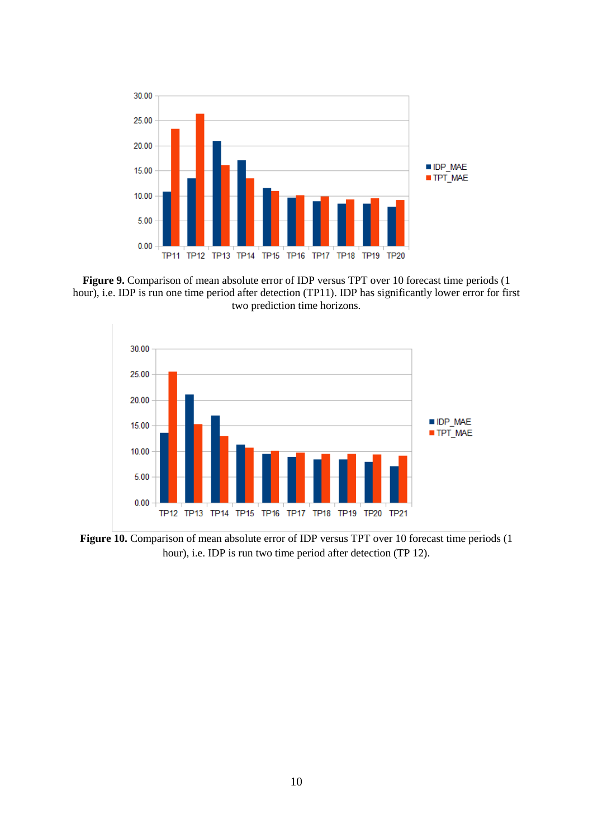

Figure 9. Comparison of mean absolute error of IDP versus TPT over 10 forecast time periods (1) hour), i.e. IDP is run one time period after detection (TP11). IDP has significantly lower error for first two prediction time horizons.



Figure 10. Comparison of mean absolute error of IDP versus TPT over 10 forecast time periods (1) hour), i.e. IDP is run two time period after detection (TP 12).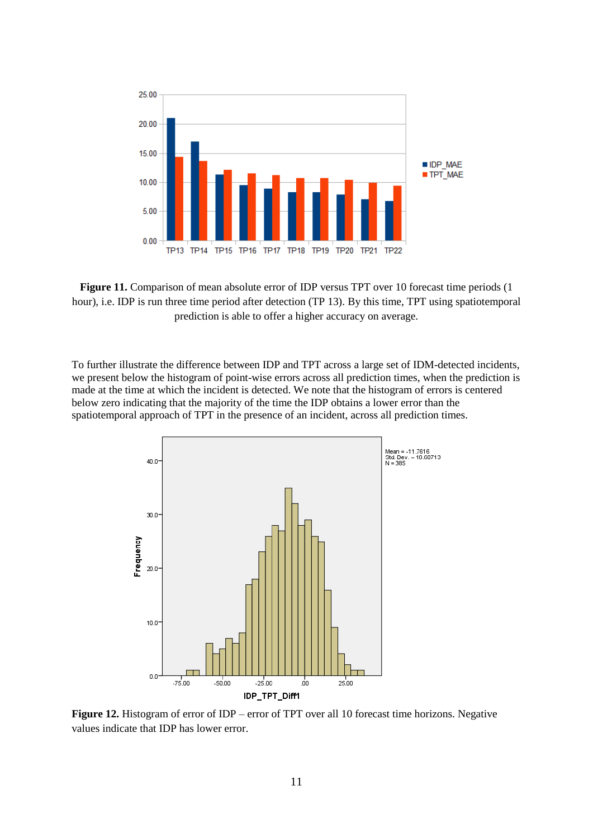

**Figure 11.** Comparison of mean absolute error of IDP versus TPT over 10 forecast time periods (1 hour), i.e. IDP is run three time period after detection (TP 13). By this time, TPT using spatiotemporal prediction is able to offer a higher accuracy on average.

To further illustrate the difference between IDP and TPT across a large set of IDM-detected incidents, we present below the histogram of point-wise errors across all prediction times, when the prediction is made at the time at which the incident is detected. We note that the histogram of errors is centered below zero indicating that the majority of the time the IDP obtains a lower error than the spatiotemporal approach of TPT in the presence of an incident, across all prediction times.



Figure 12. Histogram of error of IDP – error of TPT over all 10 forecast time horizons. Negative values indicate that IDP has lower error.